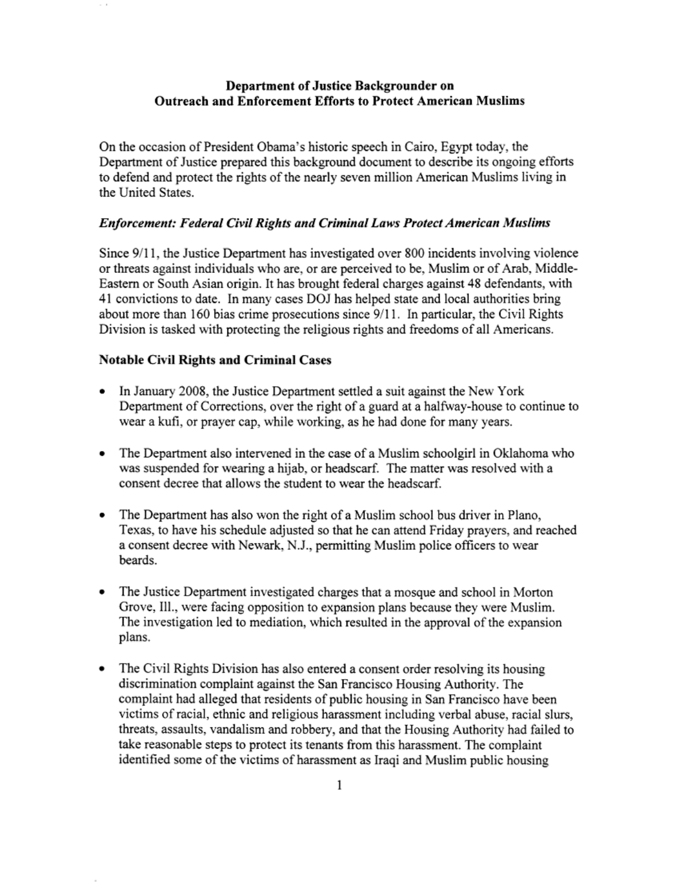### Department of Justice Backgrounder on Outreach and Enforcement Efforts to Protect American Muslims

On the occasion of President Obama's historic speech in Cairo, Egypt today, the Department of Justice prepared this background document to describe its ongoing efforts to defend and protect the rights of the nearly seven million American Muslims living in the United States.

#### *Enforcement: Federal Civil Rights and Criminal Laws Protect American Muslims*

Since 9/11, the Justice Department has investigated over 800 incidents involving violence or threats against individuals who are, or are perceived to be, Muslim or of Arab, Middle-Eastern or South Asian origin. It has brought federal charges against 48 defendants, with 41 convictions to date. In many cases DOJ has helped state and local authorities bring about more than 160 bias crime prosecutions since 9/11. In particular, the Civil Rights Division is tasked with protecting the religious rights and freedoms of all Americans.

### Notable Civil Rights and Criminal Cases

- In January 2008, the Justice Department settled a suit against the New York Department of Corrections, over the right of a guard at a halfway-house to continue to wear a kufi. or prayer cap, while working, as he had done for many years.
- The Department also intervened in the case of a Muslim schoolgirl in Oklahoma who was suspended for wearing a hijab, or headscarf. The matter was resolved with a consent decree that allows the student to wear the headscarf.
- The Department has also won the right of a Muslim school bus driver in Piano, Texas, to have his schedule adjusted so that he can attend Friday prayers, and reached a consent decree with Newark, N.J., permitting Muslim police officers to wear beards.
- The Justice Department investigated charges that a mosque and school in Morton Grove, Ill., were facing opposition to expansion plans because they were Muslim. The investigation led to mediation, which resulted in the approval of the expansion plans.
- The Civil Rights Division has also entered a consent order resolving its housing discrimination complaint against the San Francisco Housing Authority. The complaint had alleged that residents of public housing in San Francisco have been victims of racial, ethnic and religious harassment including verbal abuse, racial slurs, threats, assaults, vandalism and robbery, and that the Housing Authority had failed to take reasonable steps to protect its tenants from this harassment. The complaint identified some of the victims of harassment as Iraqi and Muslim public housing